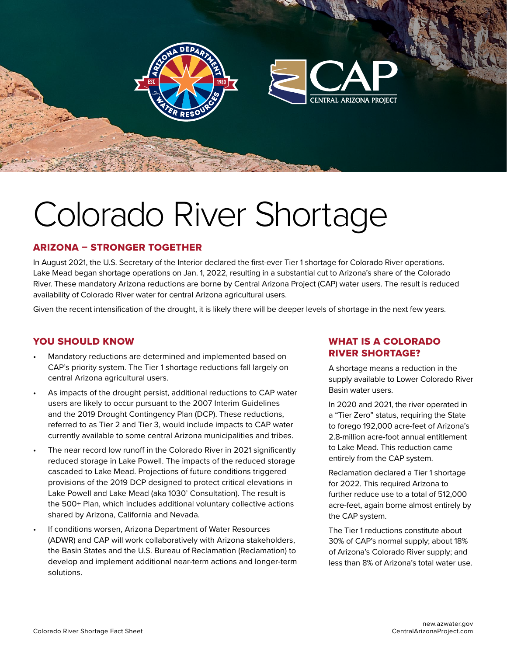

# Colorado River Shortage

### ARIZONA – STRONGER TOGETHER

In August 2021, the U.S. Secretary of the Interior declared the first-ever Tier 1 shortage for Colorado River operations. Lake Mead began shortage operations on Jan. 1, 2022, resulting in a substantial cut to Arizona's share of the Colorado River. These mandatory Arizona reductions are borne by Central Arizona Project (CAP) water users. The result is reduced availability of Colorado River water for central Arizona agricultural users.

Given the recent intensification of the drought, it is likely there will be deeper levels of shortage in the next few years.

### YOU SHOULD KNOW

- Mandatory reductions are determined and implemented based on CAP's priority system. The Tier 1 shortage reductions fall largely on central Arizona agricultural users.
- As impacts of the drought persist, additional reductions to CAP water users are likely to occur pursuant to the 2007 Interim Guidelines and the 2019 Drought Contingency Plan (DCP). These reductions, referred to as Tier 2 and Tier 3, would include impacts to CAP water currently available to some central Arizona municipalities and tribes.
- The near record low runoff in the Colorado River in 2021 significantly reduced storage in Lake Powell. The impacts of the reduced storage cascaded to Lake Mead. Projections of future conditions triggered provisions of the 2019 DCP designed to protect critical elevations in Lake Powell and Lake Mead (aka 1030' Consultation). The result is the 500+ Plan, which includes additional voluntary collective actions shared by Arizona, California and Nevada.
- If conditions worsen, Arizona Department of Water Resources (ADWR) and CAP will work collaboratively with Arizona stakeholders, the Basin States and the U.S. Bureau of Reclamation (Reclamation) to develop and implement additional near-term actions and longer-term solutions.

# WHAT IS A COLORADO RIVER SHORTAGE?

A shortage means a reduction in the supply available to Lower Colorado River Basin water users.

In 2020 and 2021, the river operated in a "Tier Zero" status, requiring the State to forego 192,000 acre-feet of Arizona's 2.8-million acre-foot annual entitlement to Lake Mead. This reduction came entirely from the CAP system.

Reclamation declared a Tier 1 shortage for 2022. This required Arizona to further reduce use to a total of 512,000 acre-feet, again borne almost entirely by the CAP system.

The Tier 1 reductions constitute about 30% of CAP's normal supply; about 18% of Arizona's Colorado River supply; and less than 8% of Arizona's total water use.